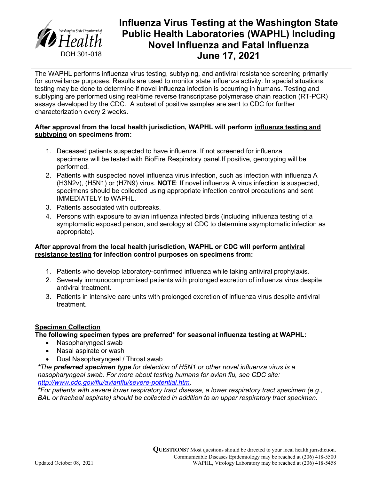

# **Influenza Virus Testing at the Washington State Public Health Laboratories (WAPHL) Including Novel Influenza and Fatal Influenza June 17, 2021**

The WAPHL performs influenza virus testing, subtyping, and antiviral resistance screening primarily for surveillance purposes. Results are used to monitor state influenza activity. In special situations, testing may be done to determine if novel influenza infection is occurring in humans. Testing and subtyping are performed using real-time reverse transcriptase polymerase chain reaction (RT-PCR) assays developed by the CDC. A subset of positive samples are sent to CDC for further characterization every 2 weeks.

#### **After approval from the local health jurisdiction, WAPHL will perform influenza testing and subtyping on specimens from:**

- 1. Deceased patients suspected to have influenza. If not screened for influenza specimens will be tested with BioFire Respiratory panel.If positive, genotyping will be performed.
- 2. Patients with suspected novel influenza virus infection, such as infection with influenza A (H3N2v), (H5N1) or (H7N9) virus. **NOTE**: If novel influenza A virus infection is suspected, specimens should be collected using appropriate infection control precautions and sent IMMEDIATELY to WAPHL.
- 3. Patients associated with outbreaks.
- 4. Persons with exposure to avian influenza infected birds (including influenza testing of a symptomatic exposed person, and serology at CDC to determine asymptomatic infection as appropriate).

### **After approval from the local health jurisdiction, WAPHL or CDC will perform antiviral resistance testing for infection control purposes on specimens from:**

- 1. Patients who develop laboratory-confirmed influenza while taking antiviral prophylaxis.
- 2. Severely immunocompromised patients with prolonged excretion of influenza virus despite antiviral treatment.
- 3. Patients in intensive care units with prolonged excretion of influenza virus despite antiviral treatment.

## **Specimen Collection**

#### **The following specimen types are preferred\* for seasonal influenza testing at WAPHL:**

- Nasopharyngeal swab
- Nasal aspirate or wash
- Dual Nasopharyngeal / Throat swab

*\*The preferred specimen type for detection of H5N1 or other novel influenza virus is a nasopharyngeal swab. For more about testing humans for avian flu, see CDC site: [http://www.cdc.gov/flu/avianflu/severe-potential.htm.](http://www.cdc.gov/flu/avianflu/severe-potential.htm)*

*\*For patients with severe lower respiratory tract disease, a lower respiratory tract specimen (e.g., BAL or tracheal aspirate) should be collected in addition to an upper respiratory tract specimen.*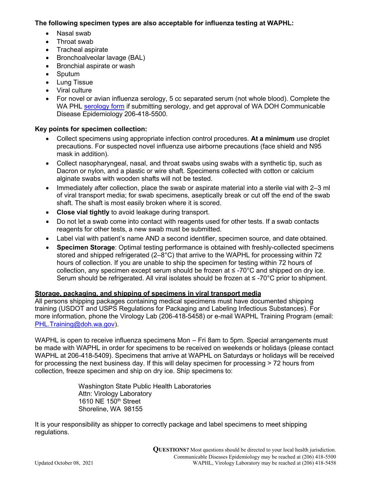#### **The following specimen types are also acceptable for influenza testing at WAPHL:**

- Nasal swab
- Throat swab
- Tracheal aspirate
- Bronchoalveolar lavage (BAL)
- Bronchial aspirate or wash
- Sputum
- Lung Tissue
- Viral culture
- For novel or avian influenza serology, 5 cc separated serum (not whole blood). Complete the WA PHL serology form if submitting serology, and get approval of WA DOH Communicable Disease Epidemiology 206-418-5500.

## **Key points for specimen collection:**

- Collect specimens using appropriate infection control procedures. **At a minimum** use droplet precautions. For suspected novel influenza use airborne precautions (face shield and N95 mask in addition).
- Collect nasopharyngeal, nasal, and throat swabs using swabs with a synthetic tip, such as Dacron or nylon, and a plastic or wire shaft. Specimens collected with cotton or calcium alginate swabs with wooden shafts will not be tested.
- Immediately after collection, place the swab or aspirate material into a sterile vial with 2–3 ml of viral transport media; for swab specimens, aseptically break or cut off the end of the swab shaft. The shaft is most easily broken where it is scored.
- **Close vial tightly** to avoid leakage during transport.
- Do not let a swab come into contact with reagents used for other tests. If a swab contacts reagents for other tests, a new swab must be submitted.
- Label vial with patient's name AND a second identifier, specimen source, and date obtained.
- **Specimen Storage**: Optimal testing performance is obtained with freshly-collected specimens stored and shipped refrigerated (2–8°C) that arrive to the WAPHL for processing within 72 hours of collection. If you are unable to ship the specimen for testing within 72 hours of collection, any specimen except serum should be frozen at  $\leq$  -70 $\degree$ C and shipped on dry ice. Serum should be refrigerated. All viral isolates should be frozen at ≤ -70°C prior to shipment.

#### **Storage, packaging, and shipping of specimens in viral transport media**

All persons shipping packages containing medical specimens must have documented shipping training (USDOT and USPS Regulations for Packaging and Labeling Infectious Substances). For more information, phone the Virology Lab (206-418-5458) or e-mail WAPHL Training Program (email: PHL.Training@doh.wa.gov).

WAPHL is open to receive influenza specimens Mon - Fri 8am to 5pm. Special arrangements must be made with WAPHL in order for specimens to be received on weekends or holidays (please contact WAPHL at 206-418-5409). Specimens that arrive at WAPHL on Saturdays or holidays will be received for processing the next business day. If this will delay specimen for processing > 72 hours from collection, freeze specimen and ship on dry ice. Ship specimens to:

> Washington State Public Health Laboratories Attn: Virology Laboratory 1610 NE 150<sup>th</sup> Street Shoreline, WA 98155

It is your responsibility as shipper to correctly package and label specimens to meet shipping regulations.